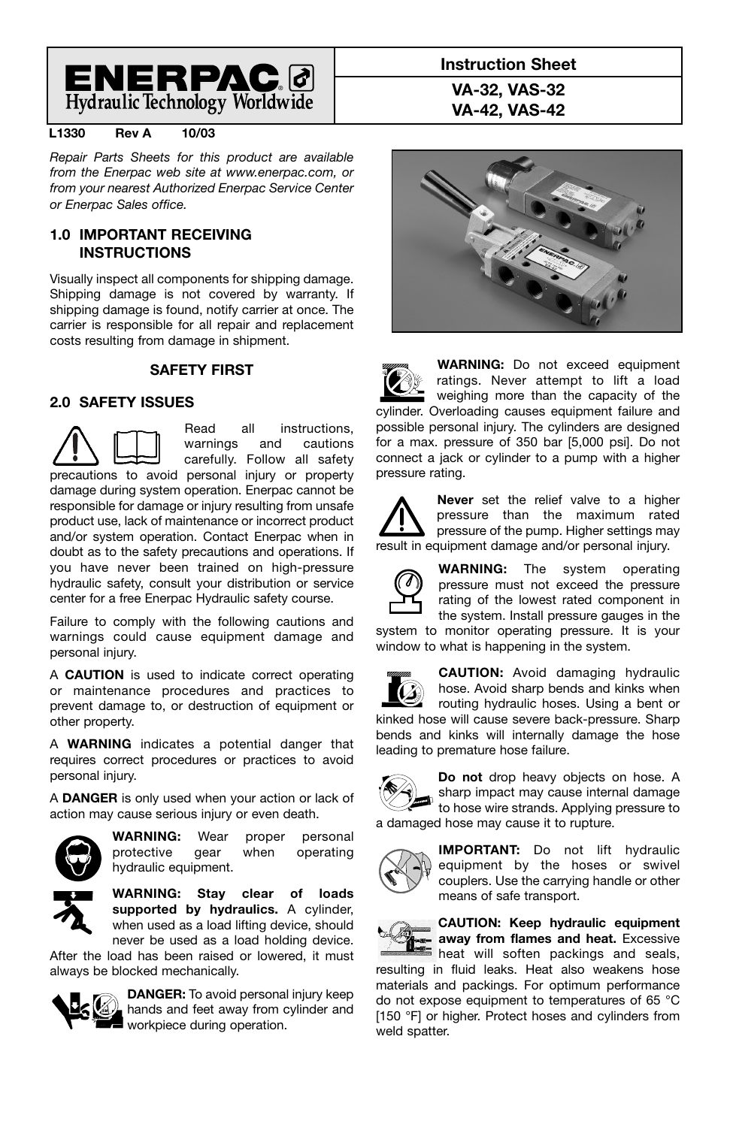

### **L1330 Rev A 10/03**

*Repair Parts Sheets for this product are available from the Enerpac web site at www.enerpac.com, or from your nearest Authorized Enerpac Service Center or Enerpac Sales office.*

### **1.0 IMPORTANT RECEIVING INSTRUCTIONS**

Visually inspect all components for shipping damage. Shipping damage is not covered by warranty. If shipping damage is found, notify carrier at once. The carrier is responsible for all repair and replacement costs resulting from damage in shipment.

### **SAFETY FIRST**

### **2.0 SAFETY ISSUES**

Read all instructions, warnings and cautions carefully. Follow all safety precautions to avoid personal injury or property damage during system operation. Enerpac cannot be responsible for damage or injury resulting from unsafe product use, lack of maintenance or incorrect product and/or system operation. Contact Enerpac when in doubt as to the safety precautions and operations. If you have never been trained on high-pressure hydraulic safety, consult your distribution or service center for a free Enerpac Hydraulic safety course.

Failure to comply with the following cautions and warnings could cause equipment damage and personal injury.

A **CAUTION** is used to indicate correct operating or maintenance procedures and practices to prevent damage to, or destruction of equipment or other property.

A **WARNING** indicates a potential danger that requires correct procedures or practices to avoid personal injury.

A **DANGER** is only used when your action or lack of action may cause serious injury or even death.



**WARNING:** Wear proper personal protective gear when operating hydraulic equipment.

**WARNING: Stay clear of loads supported by hydraulics.** A cylinder, when used as a load lifting device, should never be used as a load holding device.

After the load has been raised or lowered, it must always be blocked mechanically.



**DANGER:** To avoid personal injury keep hands and feet away from cylinder and workpiece during operation.

**Instruction Sheet VA-32, VAS-32 VA-42, VAS-42**



**WARNING:** Do not exceed equipment ratings. Never attempt to lift a load weighing more than the capacity of the cylinder. Overloading causes equipment failure and possible personal injury. The cylinders are designed for a max. pressure of 350 bar [5,000 psi]. Do not connect a jack or cylinder to a pump with a higher pressure rating.

**Never** set the relief valve to a higher pressure than the maximum rated pressure of the pump. Higher settings may result in equipment damage and/or personal injury.



**WARNING:** The system operating pressure must not exceed the pressure rating of the lowest rated component in the system. Install pressure gauges in the

system to monitor operating pressure. It is your window to what is happening in the system.



**CAUTION:** Avoid damaging hydraulic hose. Avoid sharp bends and kinks when routing hydraulic hoses. Using a bent or kinked hose will cause severe back-pressure. Sharp

bends and kinks will internally damage the hose leading to premature hose failure.



**Do not** drop heavy objects on hose. A sharp impact may cause internal damage to hose wire strands. Applying pressure to a damaged hose may cause it to rupture.



**IMPORTANT:** Do not lift hydraulic equipment by the hoses or swivel couplers. Use the carrying handle or other means of safe transport.



**CAUTION: Keep hydraulic equipment away from flames and heat.** Excessive heat will soften packings and seals,

resulting in fluid leaks. Heat also weakens hose materials and packings. For optimum performance do not expose equipment to temperatures of 65 °C [150 °F] or higher. Protect hoses and cylinders from weld spatter.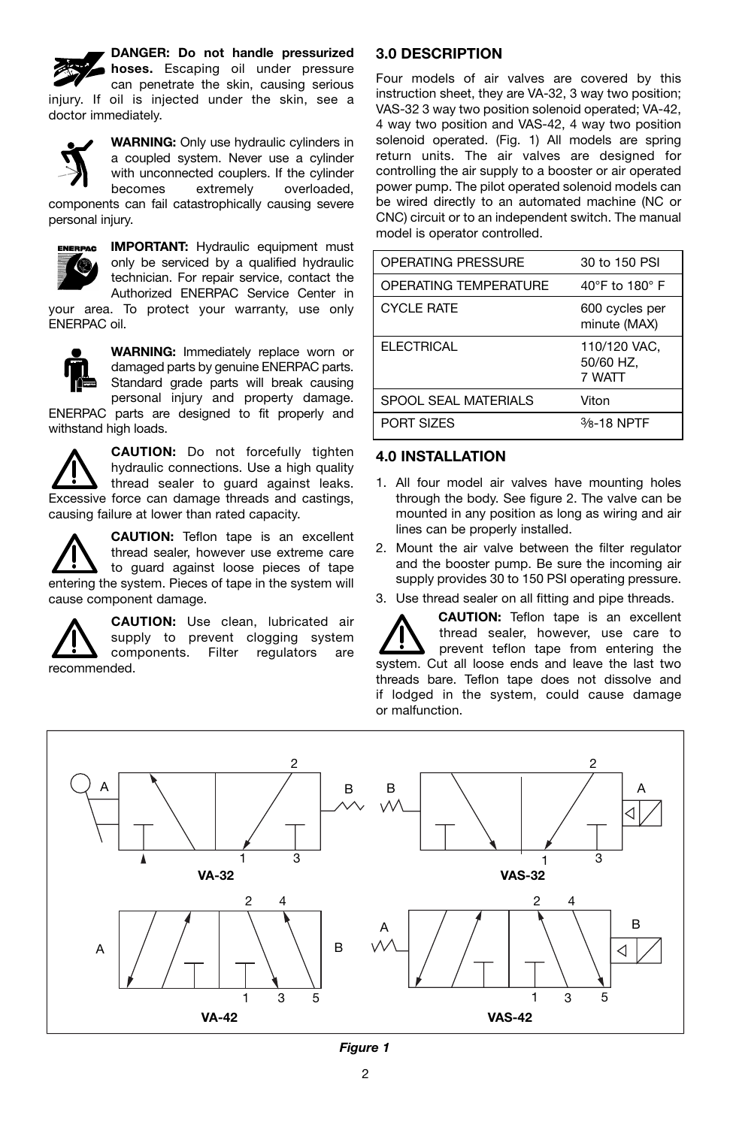**DANGER: Do not handle pressurized hoses.** Escaping oil under pressure can penetrate the skin, causing serious injury. If oil is injected under the skin, see a doctor immediately.





**IMPORTANT:** Hydraulic equipment must only be serviced by a qualified hydraulic technician. For repair service, contact the Authorized ENERPAC Service Center in

your area. To protect your warranty, use only ENERPAC oil.



**WARNING:** Immediately replace worn or damaged parts by genuine ENERPAC parts. Standard grade parts will break causing personal injury and property damage.

ENERPAC parts are designed to fit properly and withstand high loads.

**CAUTION:** Do not forcefully tighten hydraulic connections. Use a high quality thread sealer to guard against leaks. Excessive force can damage threads and castings, causing failure at lower than rated capacity.

**CAUTION:** Teflon tape is an excellent thread sealer, however use extreme care to guard against loose pieces of tape entering the system. Pieces of tape in the system will cause component damage.

**CAUTION:** Use clean, lubricated air supply to prevent clogging system components. Filter regulators are recommended.

## **3.0 DESCRIPTION**

Four models of air valves are covered by this instruction sheet, they are VA-32, 3 way two position; VAS-32 3 way two position solenoid operated; VA-42, 4 way two position and VAS-42, 4 way two position solenoid operated. (Fig. 1) All models are spring return units. The air valves are designed for controlling the air supply to a booster or air operated power pump. The pilot operated solenoid models can be wired directly to an automated machine (NC or CNC) circuit or to an independent switch. The manual model is operator controlled.

| <b>OPERATING PRESSURE</b>    | 30 to 150 PSI                       |
|------------------------------|-------------------------------------|
| <b>OPERATING TEMPERATURE</b> | 40°F to 180°F                       |
| <b>CYCLE RATE</b>            | 600 cycles per<br>minute (MAX)      |
| <b>ELECTRICAL</b>            | 110/120 VAC.<br>50/60 HZ,<br>7 WATT |
| SPOOL SEAL MATERIALS         | Viton                               |
| PORT SIZES                   | 3/8-18 NPTF                         |

### **4.0 INSTALLATION**

- 1. All four model air valves have mounting holes through the body. See figure 2. The valve can be mounted in any position as long as wiring and air lines can be properly installed.
- 2. Mount the air valve between the filter regulator and the booster pump. Be sure the incoming air supply provides 30 to 150 PSI operating pressure.
- 3. Use thread sealer on all fitting and pipe threads.

**CAUTION:** Teflon tape is an excellent thread sealer, however, use care to prevent teflon tape from entering the system. Cut all loose ends and leave the last two threads bare. Teflon tape does not dissolve and if lodged in the system, could cause damage or malfunction.

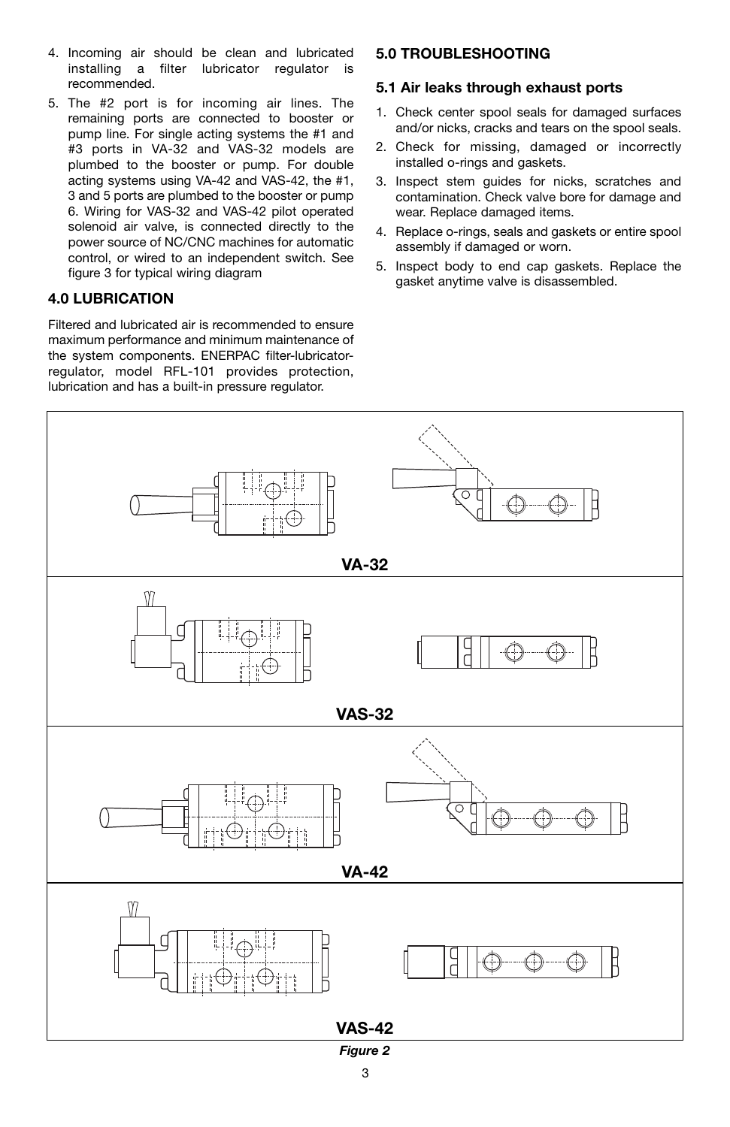- 4. Incoming air should be clean and lubricated installing a filter lubricator regulator is recommended.
- 5. The #2 port is for incoming air lines. The remaining ports are connected to booster or pump line. For single acting systems the #1 and #3 ports in VA-32 and VAS-32 models are plumbed to the booster or pump. For double acting systems using VA-42 and VAS-42, the #1, 3 and 5 ports are plumbed to the booster or pump 6. Wiring for VAS-32 and VAS-42 pilot operated solenoid air valve, is connected directly to the power source of NC/CNC machines for automatic control, or wired to an independent switch. See figure 3 for typical wiring diagram

### **4.0 LUBRICATION**

Filtered and lubricated air is recommended to ensure maximum performance and minimum maintenance of the system components. ENERPAC filter-lubricatorregulator, model RFL-101 provides protection, lubrication and has a built-in pressure regulator.

### **5.0 TROUBLESHOOTING**

### **5.1 Air leaks through exhaust ports**

- 1. Check center spool seals for damaged surfaces and/or nicks, cracks and tears on the spool seals.
- 2. Check for missing, damaged or incorrectly installed o-rings and gaskets.
- 3. Inspect stem guides for nicks, scratches and contamination. Check valve bore for damage and wear. Replace damaged items.
- 4. Replace o-rings, seals and gaskets or entire spool assembly if damaged or worn.
- 5. Inspect body to end cap gaskets. Replace the gasket anytime valve is disassembled.